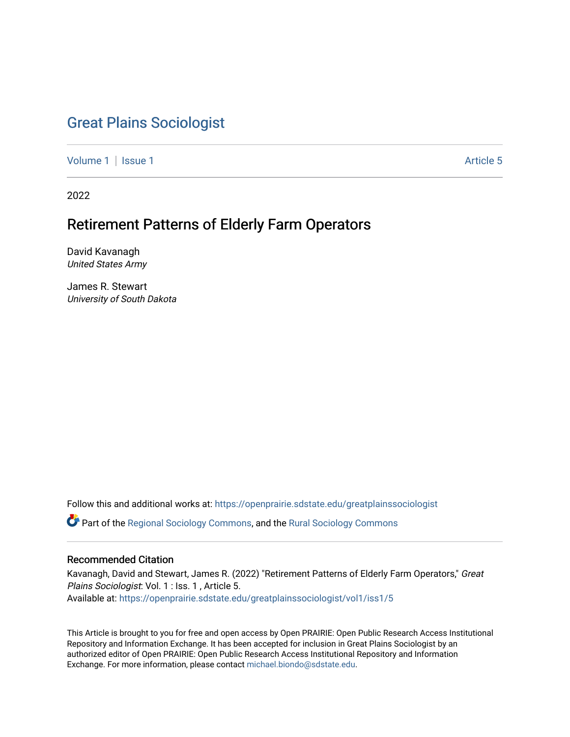# [Great Plains Sociologist](https://openprairie.sdstate.edu/greatplainssociologist)

[Volume 1](https://openprairie.sdstate.edu/greatplainssociologist/vol1) | [Issue 1](https://openprairie.sdstate.edu/greatplainssociologist/vol1/iss1) Article 5

2022

## Retirement Patterns of Elderly Farm Operators

David Kavanagh United States Army

James R. Stewart University of South Dakota

Follow this and additional works at: [https://openprairie.sdstate.edu/greatplainssociologist](https://openprairie.sdstate.edu/greatplainssociologist?utm_source=openprairie.sdstate.edu%2Fgreatplainssociologist%2Fvol1%2Fiss1%2F5&utm_medium=PDF&utm_campaign=PDFCoverPages) 

Part of the [Regional Sociology Commons](http://network.bepress.com/hgg/discipline/427?utm_source=openprairie.sdstate.edu%2Fgreatplainssociologist%2Fvol1%2Fiss1%2F5&utm_medium=PDF&utm_campaign=PDFCoverPages), and the [Rural Sociology Commons](http://network.bepress.com/hgg/discipline/428?utm_source=openprairie.sdstate.edu%2Fgreatplainssociologist%2Fvol1%2Fiss1%2F5&utm_medium=PDF&utm_campaign=PDFCoverPages) 

## Recommended Citation

Kavanagh, David and Stewart, James R. (2022) "Retirement Patterns of Elderly Farm Operators," Great Plains Sociologist: Vol. 1 : Iss. 1 , Article 5. Available at: [https://openprairie.sdstate.edu/greatplainssociologist/vol1/iss1/5](https://openprairie.sdstate.edu/greatplainssociologist/vol1/iss1/5?utm_source=openprairie.sdstate.edu%2Fgreatplainssociologist%2Fvol1%2Fiss1%2F5&utm_medium=PDF&utm_campaign=PDFCoverPages) 

This Article is brought to you for free and open access by Open PRAIRIE: Open Public Research Access Institutional Repository and Information Exchange. It has been accepted for inclusion in Great Plains Sociologist by an authorized editor of Open PRAIRIE: Open Public Research Access Institutional Repository and Information Exchange. For more information, please contact [michael.biondo@sdstate.edu.](mailto:michael.biondo@sdstate.edu)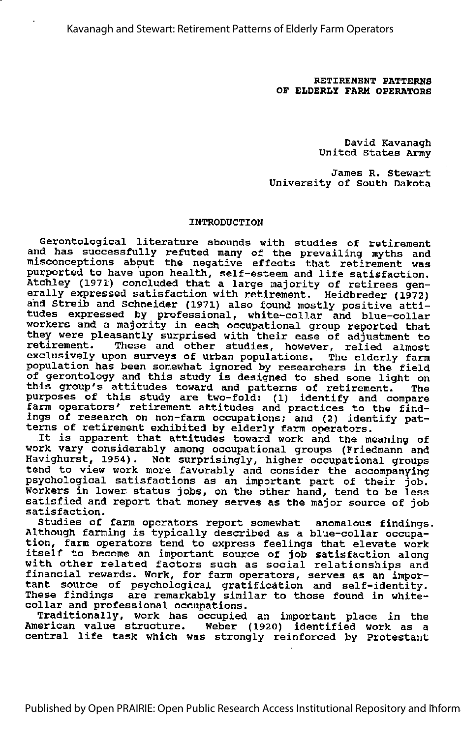Kavanagh and Stewart: Retirement Patterns of Elderly Farm Operators

RETIREMENT PATTERNS OF ELDERLY FARM OPERATORS

> David Kavanagh United States Army

James R. Stewart University of South Dakota

## INTRODUCTION

Gerontological literature abounds with studies of retirement and has successfully refuted many of the prevailing myths and misconceptions about the negative effects that retirement was purported to have upon health, self-esteem and life satisfaction. Atchley (1971) concluded that a large majority of retirees gen erally expressed satisfaction with retirement. Heidbreder (1972) and Streib and Schneider (1971) also found mostly positive atti tudes expressed by professional, white-collar and blue-collar workers and a majority in each occupational group reported that they were pleasantly surprised with their ease of adjustment to retirement. These and other studies, however, relied almost These and other studies, however, relied almost exclusively upon surveys of urban populations. The elderly farm population has been somewhat ignored by researchers in the field of gerontology and this study is designed to shed some light on this group's attitudes toward and patterns of retirement. The purposes of this study are two-fold: (1) identify and compare farm operators' retirement attitudes and practices to the find ings of research on non-farm occupations; and (2) identify pat terns of retirement exhibited by elderly farm operators. It is apparent that attitudes toward work and the meaning of

work vary considerably among occupational groups (Friedmann and Havighurst, 1954). Not surprisingly, higher occupational groups tend to view work more favorably and consider the accompanying psychological satisfactions as an important part of their job. Workers in lower status jobs, on the other hand, tend to be less satisfied and report that money serves as the major source of job satisfaction.

Studies of farm operators report somewhat anomalous findings. Although farming is typically described as <sup>a</sup> blue-collar occupa tion, farm operators tend to express feelings that elevate work itself to become an important source of job satisfaction along with other related factors such as social relationships and financial rewards. Work, for farm operators, serves as an impor tant source of psychological gratification and self-identity. These findings are remarkably similar to those found in whitecollar and professional occupations.

Traditionally, work has occupied an important place in the American value structure. Weber (1920) identified work as a central life task which was strongly reinforced by Protestant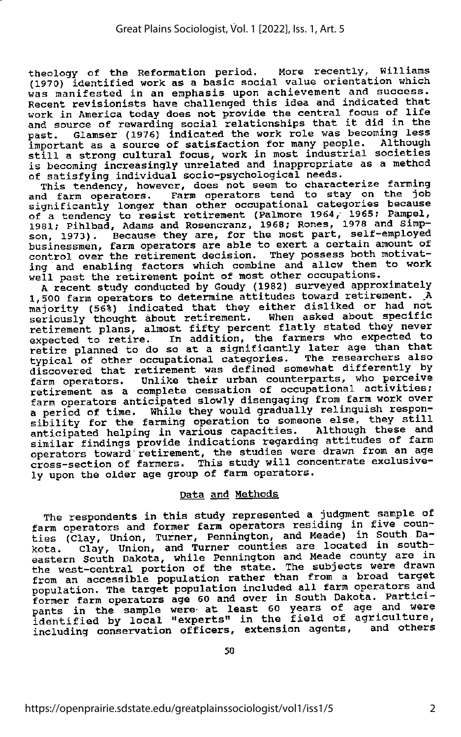theology of the Reformation period. More recently, Williams<br>(1970) identified work as a basic social value orientation which was manifested in an emphasis upon achievement and success. Recent revisionists have challenged this idea and indicated that work in America today does not provide the central focus of life<br>and source of rewarding social relationships that it did in the<br>and source of rewarding social relationships that it did in the past. Glamser (1976) indicated the work role was becoming less important as <sup>a</sup> source of satisfaction for many people. Although still <sup>a</sup> strong cultural focus, work in most industrial societies is becoming increasingly unrelated and inappropriate as a method of satisfying individual socio-psychological needs.

This tendency, however, does not seem to characterize farming and farm operators. Farm operators tend to stay on the job significantly longer than other occupational categories because of a tendency to resist retirement (Palmore 1964, 1965; Pampel, 1981; Pihlbad, Adams and Rosencranz, 1968; Rones, 1978 and Simp son, 1973). Because they are, for the most part, self-employed businessmen, farm operators are able to exert <sup>a</sup> certain amount of control over the retirement decision. They possess both motivating and enabling factors which combine and allow them to work<br>well past the retirement point of most other occupations.

A recent study conducted by Goudy (1982) surveyed approximately 1,500 farm operators to determine attitudes toward retirement. A majority (56%) indicated that they either disliked or had not seriously thought about retirement. When asked about specific<br>retirement plans, almost fifty percent flatly stated they never expected to retire. In addition, the farmers who expected to retire planned to do so at a significantly later age than that typical of other occupational categories. The researchers also discovered that retirement was defined somewhat differently by farm operators. Unlike their urban counterparts, who perceive retirement as <sup>a</sup> complete cessation of occupational activities; farm operators anticipated slowly disengaging from farm work over a period of time. While they would gradually relinquish respon-<br>sibility for the farming operation to someone else, they still anticipated helping in various capacities. Although these and similar findings provide indications regarding attitudes of farm<br>operators toward retirement, the studies were drawn from an age cross-section of farmers. This study will concentrate exclusively upon the older age group of farm operators.

## Data and Methods

The respondents in this study represented a judgment sample of farm operators and former farm operators residing in five coun ties (Clay, Union, Turner, Pennington, and Meade) in South Da kota. Clay, Union, and Turner counties are located in south eastern South Dakota, while Pennington and Meade county are in the west-central portion of the state. The subjects were drawn<br>from an accessible population rather than from a broad target from an accessible population rather than from a broad target<br>population. The target population included all farm operators and<br>in farm operators and results in the political former farm operators age 60 and over in South Dakota. Partici pants in the sample were at least 60 years of age and were identified by local "experts" in the field of agriculture, including conservation officers, extension agents, and others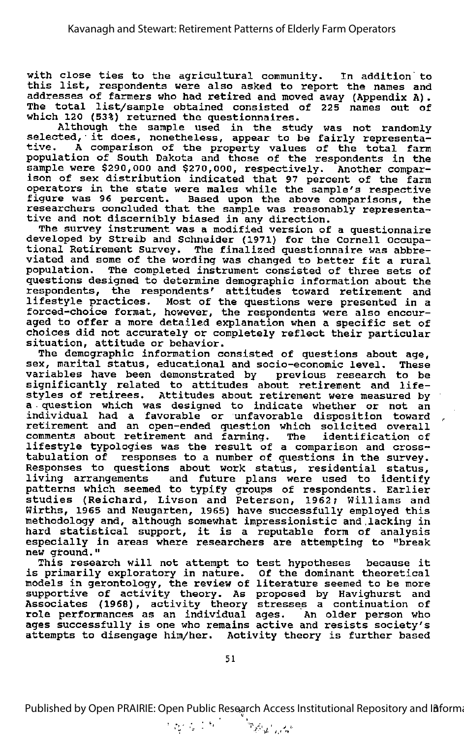with close ties to the agricultural community. In addition to this list, respondents were also asked to report the names and addresses of farmers who had retired and moved away (Appendix A). The total list/sample obtained consisted of 225 names out of which 120 (53%) returned the questionnaires.

Although the sample used in the study was not randomly<br>selected, it does, nonetheless, appear to be fairly representascressed, it does, hometheress, appear to be fairly representa-<br>tive. A comparison of the property values of the total farm population of South Dakota and those of the respondents in the sample were \$290,000 and \$270,000, respectively. Another comparison of sex distribution indicated that 97 percent of the farm operators in the state were males while the sample's respective<br>figure was 96 percent. Based upon the above comparisons, the Based upon the above comparisons, the researchers concluded that the sample was reasonably representa tive and not discernibly biased in any direction.

The survey instrument was a modified version of a questionnaire developed by Streib and Schneider (1971) for the Cornell Occupa tional Retirement survey. The finalized questionnaire was abbre viated and some of the wording was changed to better fit <sup>a</sup> rural population. The completed instrument consisted of three sets of questions designed to determine demographic information about the respondents, the respondents' attitudes toward retirement and respondence, the respondence accredies coward recriment and<br>lifestyle practices. Most of the questions were presented in a forced-choice format, however, the respondents were also encour aged to offer <sup>a</sup> more detailed explanation when <sup>a</sup> specific set of choices did not accurately or completely reflect their particular situation, attitude or behavior.

The demographic information consisted of questions about age, sex, marital status, educational and socio-economic level. These variables have been demonstrated by previous research to be significantly related to attitudes about retirement and life styles of retirees. Attitudes about retirement were measured by a question which was designed to indicate whether or not an individual had a favorable or unfavorable disposition toward retirement and an open-ended question which solicited overall comments about retirement and farming. The identification of lifestyle typologies was the result of <sup>a</sup> comparison and crosstabulation of responses to a number of questions in the survey. Responses to questions about work status, residential status, living arrangements and future plans were used to identify patterns which seemed to typify groups of respondents. Earlier studies (Reichard, Livson and Peterson, 1962; Williams and Wirths, 1965 and Neugarten, 1965) have successfully employed this methodology and, although somewhat impressionistic and,lacking in hard statistical support, it is <sup>a</sup> reputable form of analysis especially in areas where researchers are attempting to "break new ground."

This research will not attempt to test hypotheses because it is primarily exploratory in nature. Of the dominant theoretical models in gerontology, the review of literature seemed to be more supportive of activity theory. As proposed by Havighurst and Associates (1968), activity theory stresses <sup>a</sup> continuation of role performances as an individual ages. An older person who ages successfully is one who remains active and resists society's attempts to disengage him/her. Activity theory is further based

Published by Open PRAIRIE: Open Public Research Access Institutional Repository and Informa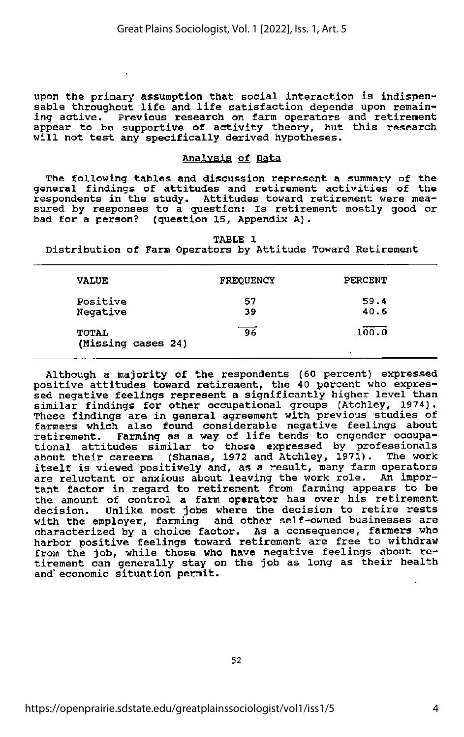upon the primary assumption that social interaction is indispen sable throughout life and life satisfaction depends upon remain ing active. Previous research on farm operators and retirement appear to be supportive of activity theory, but this research appear to be supportive of activity diecry, but

## Analvsis of Data

The following tables and discussion represent <sup>a</sup> summary of the general findings of attitudes and retirement activities of the<br>respondents in the study. Attitudes toward retirement were mea-Attitudes toward retirement were measured by responses to <sup>a</sup> question: Is retirement mostly good or bad for <sup>a</sup> person? (question 15, Appendix A).

TABLE 1

Distribution of Farm Operators by Attitude Toward Retirement

| <b>VALUE</b>                       | <b>FREQUENCY</b> | PERCENT          |
|------------------------------------|------------------|------------------|
| Positive<br>Negative               | 57<br>39         | 59.4<br>40.6     |
| <b>TOTAL</b><br>(Missing cases 24) | 96               | 100.0<br>$\cdot$ |

Although a majority of the respondents (60 percent) expressed positive attitudes toward retirement, the 40 percent who expres sed negative feelings represent a significantly higher level than similar findings for other occupational groups (Atchley, 1974). These findings are in general agreement with previous studies of farmers which also found considerable negative feelings about retirement. Farming as <sup>a</sup> way of life tends to engender occupa tional attitudes similar to those expressed by professionals about their careers (Shanas, 1972 and Atchley, 1971). The work itself is viewed positively and, as <sup>a</sup> result, many farm operators are reluctant or anxious about leaving the work role. An impor tant factor in regard to retirement from farming appears to be the amount of control a farm operator has over his retirement decision. Unlike most jobs where the decision to retire rests with the employer, farming and other self-owned businesses are characterized by a choice factor. As a consequence, farmers who harbor positive feelings toward retirement are free to withdraw from the job, while those who have negative feelings about re-<br>tirement can generally stay on the job as long as their health and" economic situation permit.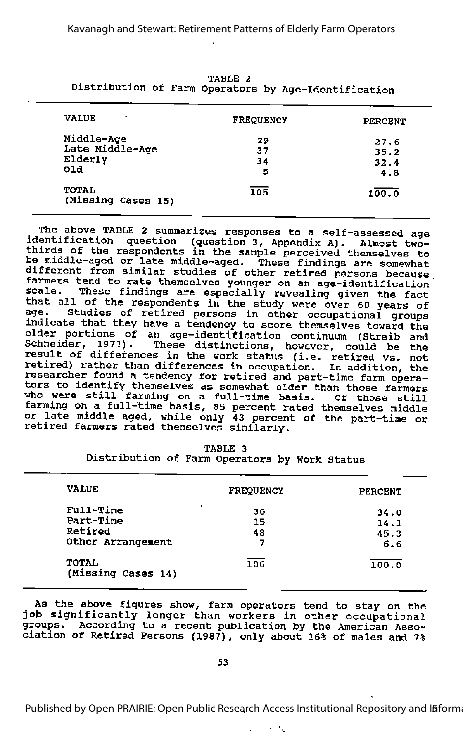| Distribution of Farm Operators by Age-Identification |                  |         |  |  |  |
|------------------------------------------------------|------------------|---------|--|--|--|
| <b>VALUE</b>                                         | <b>FREQUENCY</b> | PERCENT |  |  |  |
| Middle-Age                                           | 29               | 27.6    |  |  |  |
| Late Middle-Age                                      | 37               | 35.2    |  |  |  |
| Elderly                                              | 34               | 32.4    |  |  |  |
| old                                                  | 5                | 4.8     |  |  |  |
| <b>TOTAL</b><br>(Missing Cases 15)                   | 105              | 100.0   |  |  |  |

TABLE 2 Distribution of Farm Operators by Age-Identification

The above TABLE 2 summarizes responses to <sup>a</sup> self-assessed age identification question (question 3, Appendix A). Almost two- thirds of the respondents in the sample perceived themselves to be middle-aged or late middle-aged. These findings are somewhat different from similar studies of other retired persons because farmers tend to rate themselves younger on an age-identification scale. These findings are especially revealing given the fact that all of the respondents in the study were over 60 years of<br>age. Studies of retired persons in other occupational groups Studies of retired persons in other occupational groups indicate that they have a tendency to score themselves toward the older portions of an age-identification continuum (Streib and Schneider, 1971). These distinctions, however, could be the result of differences in the work status (i.e. retired vs. not retired) rather than differences in occupation. In addition, the researcher found a tendency for retired and part-time farm opera tors to identify themselves as somewhat older than those farmers who were still farming on a full-time basis. Of those still farming on a full-time basis, 85 percent rated themselves middle or late middle aged, while only 43 percent of the part-time or er ease measing agea, while only 45 percent

| <b>VALUE</b>                | <b>FREQUENCY</b> | PERCENT |
|-----------------------------|------------------|---------|
| ۰<br>Full-Time              | 36               | 34.0    |
| Part-Time                   | 15               | 14.1    |
| Retired                     | 48               | 45.3    |
| Other Arrangement           | 7                | 6.6     |
| TOTAL<br>(Missing Cases 14) | 106              | 100.0   |

TABLE 3 Distribution of Farm Operators by Work Status

As the above figures show, farm operators tend to stay on the In the doort figures show, farm operators tend to stay on the<br>job significantly longer than workers in other occupational groups. According to a recent publication by the American Asso ciation of Retired Persons (1987), only about 16% of males and 7%

Published by Open PRAIRIE: Open Public Research Access Institutional Repository and Ififorma

 $\epsilon$  ,  $\epsilon_{\rm g}$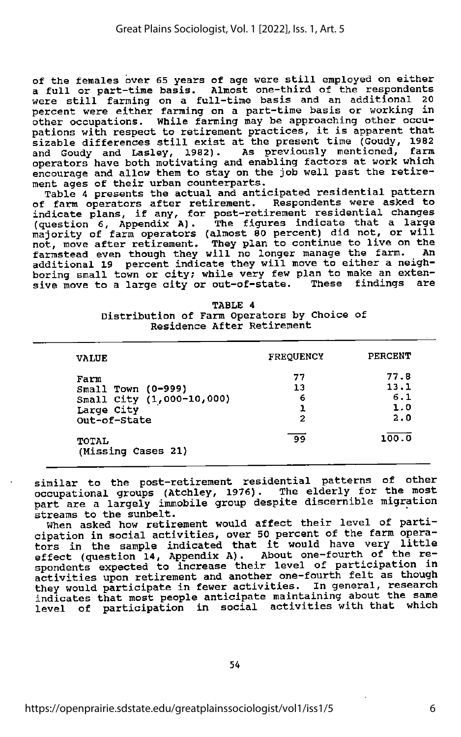of the females over 65 years of age were still employed on either<br>a full or part-time basis. Almost one-third of the respondents<br>were still farming on a full-time basis and an additional 20 percent were either farming on a part-time basis or working in other occupations. While farming may be approaching other occu pations with respect to retirement practices, it is apparent that sizable differences still exist at the present time (Goudy, <sup>1982</sup> and Goudy and Lasley, 1982). As previously mentioned, farm operators have both motivating and enabling factors at work which encourage and allow them to stay on the job well past the retire ment ages of their urban counterparts.

Table 4 presents the actual and anticipated residential pattern of farm operators after retirement. Respondents were asked to indicate plans, if any, for post-retirement residential changes (question 6, Appendix A). The figures indicate that <sup>a</sup> large majority of farm operators (almost <sup>80</sup> percent) did not, or will majority of farm operators (almost 80 percent) did not, or will<br>not, move after retirement. They plan to continue to live on the farmstead even though they will no longer manage the farm. An additional 19 percent indicate they will move to either a neigh boring small town or city; while very few plan to make an exten-<br>sive move to a large city or out-of-state. These findings are sive move to a large city or out-of-state. These findings

| TABLE 4                                     |  |  |  |  |  |  |  |  |  |
|---------------------------------------------|--|--|--|--|--|--|--|--|--|
| Distribution of Farm Operators by Choice of |  |  |  |  |  |  |  |  |  |
| Residence After Retirement                  |  |  |  |  |  |  |  |  |  |

| <b>VALUE</b>                                                                          | <b>FREQUENCY</b>   | PERCENT                           |
|---------------------------------------------------------------------------------------|--------------------|-----------------------------------|
| Farm<br>Small Town (0-999)<br>Small City (1,000-10,000)<br>Large City<br>Out-of-State | 77<br>13<br>6<br>2 | 77.8<br>13.1<br>6.1<br>1.0<br>2.0 |
| TOTAL<br>(Missing Cases 21)                                                           | 99                 | 100.0                             |

similar to the post-retirement residential patterns of other occupational groups (Atchley, 1976). The elderly for the most part are <sup>a</sup> largely immobile group despite discernible migration streams to the sunbelt.

When asked how retirement would affect their level of parti cipation in social activities, over 50 percent of the farm opera-<br>tors in the sample indicated that it would have very little effect (question 14, Appendix A). About one-fourth of the re spondents expected to increase their level of participation in activities upon retirement and another one-fourth felt as though<br>they would participate in fewer activities. In general, research indicates that most people anticipate maintaining about the same level of participation in social activities with that which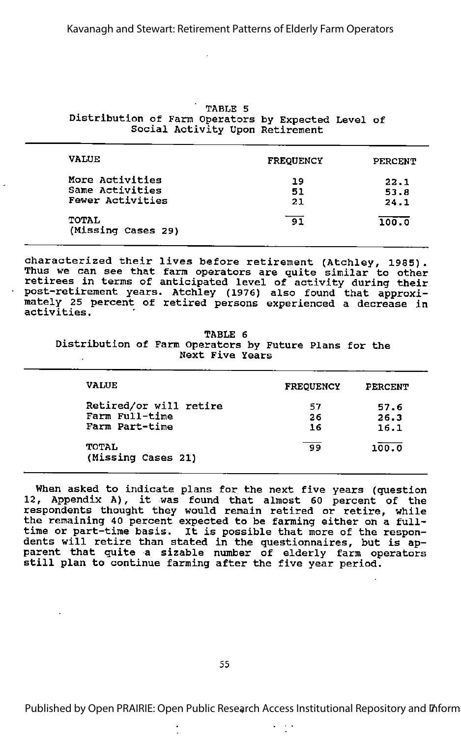|                                                     |  | TABLE 5 |  |                                 |  |
|-----------------------------------------------------|--|---------|--|---------------------------------|--|
| Distribution of Farm Operators by Expected Level of |  |         |  |                                 |  |
|                                                     |  |         |  | Social Activity Upon Retirement |  |

| <b>VALUE</b>                                           | <b>FREOUENCY</b> | PERCENT              |
|--------------------------------------------------------|------------------|----------------------|
| More Activities<br>Same Activities<br>Fewer Activities | 19<br>51<br>21   | 22.1<br>53.8<br>24.1 |
| <b>TOTAL</b><br>(Missing Cases 29)                     | 91               | 100.0                |

characterized their lives before retirement (Atchley, 1985). Thus we can see that farm operators are quite similar to other retirees in terms of anticipated level of activity during their post-retirement years. Atchley (1976) also found that approxi mately 25 percent of retired persons experienced a decrease in activities.

TABLE 6 Distribution of Farm Operators by Future Plans for the Next Five Years  $\alpha$ 

| <b>VALUE</b>                                               | <b>FREOUENCY</b> | <b>PERCENT</b>       |  |
|------------------------------------------------------------|------------------|----------------------|--|
| Retired/or will retire<br>Farm Full-time<br>Farm Part-time | 57<br>26<br>16   | 57.6<br>26.3<br>16.1 |  |
| TOTAL<br>(Missing Cases 21)                                | -99              | 100.0                |  |

When asked to indicate plans for the next five years (question 12, Appendix A), it was found that almost <sup>60</sup> percent of the respondents thought they would remain retired or retire, while the remaining <sup>40</sup> percent expected to be farming either on <sup>a</sup> fulltime or part-time basis. It is possible that more of the respon dents will retire than stated in the questionnaires, but is apparent that quite a sizable number of elderly farm operators still plan to continue farming after the five year period.

Published by Open PRAIRIE: Open Public Research Access Institutional Repository and Inform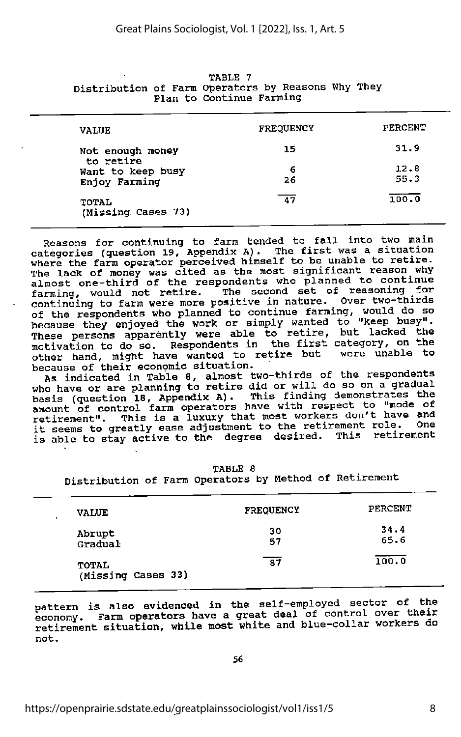|                               | Plan to Continue Farming |         |
|-------------------------------|--------------------------|---------|
| <b>VALUE</b>                  | <b>FREQUENCY</b>         | PERCENT |
| Not enough money<br>to retire | 15                       | 31.9    |
| Want to keep busy             | 6                        | 12.8    |
| Enjoy Farming                 | 26                       | 55.3    |
| TOTAL<br>(Missing Cases 73)   | 47                       | 100.0   |

|                                                    |  | TABLE 7                  |  |  |
|----------------------------------------------------|--|--------------------------|--|--|
| Distribution of Farm Operators by Reasons Why They |  |                          |  |  |
|                                                    |  | Plan to Continue Farming |  |  |

Reasons for continuing to farm tended to fall into two main categories (question 19, Appendix A). The first was a situation where the farm operator perceived himself to be unable to retire. The lack of money was cited as the most significant reason why<br>almost one-third of the respondents who planned to continue almost one-third of the respondents who planned to continue farming, would not retire. The second set of reasoning for continuing to farm were more positive in nature. Over two-thirds of the respondents who planned to continue farming, would do so because they enjoyed the work or simply wanted to "keep busy".<br>These persons apparently were able to retire, but lacked the motivation to do so. Respondents in the first category, on the other hand, might have wanted to retire but were unable to because of their economic situation.

As indicated in Table 8, almost two-thirds of the respondents who have or are planning to retire did or will do so on a gradual basis (question 18, Appendix A). This finding demonstrates the amount of control farm operators have with respect to "mode of etirement". This is a luxury that most workers don't have and<br>it seems to greatly ease adjustment to the retirement role. One is able to stay active to the degree desired. This retirement

TABLE 8

Distribution of Farm Operators by Method of Retirement

| <b>VALUE</b><br>٠           | <b>FREQUENCY</b> | PERCENT      |
|-----------------------------|------------------|--------------|
| Abrupt<br>Gradual           | 30<br>57         | 34.4<br>65.6 |
| TOTAL<br>(Missing Cases 33) | 87               | 100.0        |

pattern is also evidenced in the self-employed sector of the economy. Farm operators have a great deal of control over their retirement situation, while most white and blue-collar workers do not.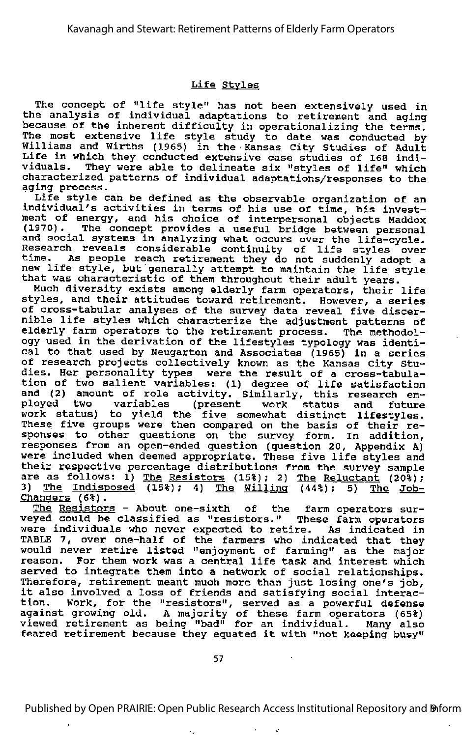## Life Styles

The concept of "life style" has not been extensively used in the analysis of individual adaptations to retirement and aging because of the inherent difficulty in operationalizing the terms. because of the finierent ufficulty in operationalizing the terms.<br>The most extensive life style study to date was conducted by Williams and Wirths (1965) in the •Kansas City Studies of Adult Life in which they conducted extensive case studies of 168 indi viduals. They were able to delineate six "styles of life" which characterized patterns of individual adaptations/responses to the aging process.

Life style can be defined as the observable organization of an individual's activities in terms of his use of time, his invest ment of energy, and his choice of interpersonal objects Maddox (1970).^ The concept provides <sup>a</sup> useful bridge between personal and social systems in analyzing what occurs over the life-cycle. Research reveals considerable continuity of life styles over<br>time. As people reach retirement they do not suddenly adopt a new life style, but generally attempt to maintain the life style that was characteristic of them throughout their adult years.

at was characteristic of them throughout their adult years.<br>Much diversity exists among elderly farm operators, their life styles, and their attitudes toward retirement. However, <sup>a</sup> series of cross-tabular analyses of the survey data reveal five discer nible life styles which characterize the adjustment patterns of elderly farm operators to the retirement process. The methodology used in the derivation of the lifestyles typology was identi cal to that used by Neugarten and Associates (1965) in <sup>a</sup> series of research projects collectively known as the Kansas City Stu of research projects correctively known as the kansas tity studies. Her personality types were the result of a cross-tabula tion of two salient variables: (1) degree of life satisfaction and (2) amount of role activity. Similarly, this research em man (b) and the contract of the contract of the contract of the ployed two variables (present work status and future projed the variables (present work status and future<br>work status) to yield the five somewhat distinct lifestyles. These five groups were then compared on the basis of their re sponses to other questions on the survey form. In addition, responses from an open-ended question (question 20, Appendix A) were included when deemed appropriate. These five life styles and their respective percentage distributions from the survey sample<br>their respective percentage distributions from the survey sample<br>are as follows: 1) <u>The Resistors</u> (15%); 2) <u>The Reluctant</u> (20%); 3) The Indisposed  $(15*)$ ; 4) The Willing  $(44*)$ ; 5) The Job-Changers (6%).

The Resistors - About one-sixth of the farm operators surveyed could be classified as "resistors." These farm operators were individuals who never expected to retire. As indicated in TABLE 7, over one-half of the farmers who indicated that they would never retire listed "enjoyment of farming" as the major reason. For them work was <sup>a</sup> central life task and interest which served to integrate them into a network of social relationships. Therefore, retirement meant much more than just losing one's job, it also involved <sup>a</sup> loss of friends and satisfying social interac tion. Work, for the "resistors", served as a powerful defense against growing old. A majority of these farm operators (65%) viewed retirement as being "bad" for an individual. Many also feared retirement because they equated it with "not keeping busy"

Published by Open PRAIRIE: Open Public Research Access Institutional Repository and **Doration Example** 

 $\sim$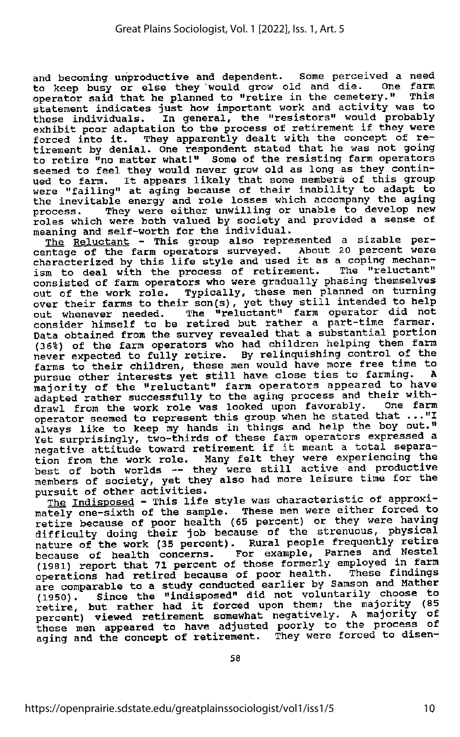and becoming unproductive and dependent. Some perceived a need to keep busy or else they would grow old and die. One fara operator said that he planned to "retire in the cemetery." This statement indicates just how important work and activity was to these individuals. In general, the "resistors" would probably exhibit poor adaptation to the process of retirement if they were forced into it. They apparently dealt with the concept of re-<br>tirement by denial. One respondent stated that he was not going to retire "no matter what!" Some of the resisting farm operators seemed to feel they would never grow old as long as they contin ued to farm. It appears likely that some members of this group were "failing" at aging because of their inability to adapt to the inevitable energy and role losses which accompany the aging process. They were either unwilling or unable to develop new roles which were both valued by society and provided a sense of meaning and self-worth for the individual.

The Reluctant - This group also represented a sizable per entage of the farm operators surveyed. About 20 percent were<br>characterized by this life style and used it as a coping mechanism to deal with the process of retirement. The "reluctant" consisted of farm operators who were gradually phasing themselves<br>out of the work role. Typically, these men planned on turning over their farms to their son(s), yet they still intended to help out whenever needed. The "reluctant" farm operator did not consider himself to be retired but rather a part-time farmer. Data obtained from the survey revealed that <sup>a</sup> substantial portion (36%) of the farm operators who had children helping them farm never expected to fully retire. By relinquishing control of the farms to their children, these men would have more free time to pursue other interests yet still have close ties to farming. A majority of the "reluctant" farm operators appeared to have adapted rather successfully to the aging process and their withdrawl from the work role was looked upon favorably. One farm<br>operator seemed to represent this group when he stated that ..."I always like to keep my hands in things and help the boy out." Wet surprisingly, two-thirds of these farm operators expressed a<br>negative attitude toward retirement if it meant a total separation from the work role. Many felt they were experiencing the best of both worlds -- they were still active and productive best of both worlds — they were still active and productive members of society, yet they also had more leisure time for the pursuit of other activities.

The Indisposed - This life style was characteristic of approximately one-sixth of the sample. These men were either forced to retire because of poor health (65 percent) or they were having retire because of poor health (65 percent) or they were having<br>difficulty doing their job because of the strenuous, physical nature of the work (35 percent). Rural people frequently retire because of health concerns. For example, Parnes and Nestel (1981) report that 71 percent of those formerly employed in farm operations had retired because of poor health. These findings are comparable to a study conducted earlier by Samson and Mather (1950). since the "indisposed" did not voluntarily choose to retire, but rather had it forced upon them; the majority (85 percent) viewed retirement somewhat negatively. <sup>A</sup> majority of these men appeared to have adjusted poorly to the process of aging and the concept of retirement. They were forced to disen-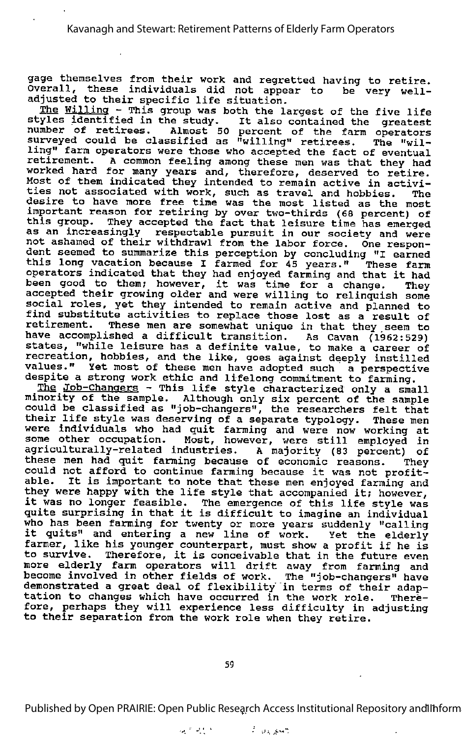gage themselves from their work and regretted having to retire. Overall, these individuals did not appear to be very welladjusted to their specific life situation.

The Willing - This group was both the largest of the five life <u>the willing</u> - This group was both the largest of the five life<br>styles identified in the study. It also contained the greatest number of retirees. Almost 50 percent of the farm operators surveyed could be classified as "willing" retirees. The "wil ling" farm operators were those who accepted the fact of eventual retirement. A common feeling among these men was that they had worked hard for many years and, therefore, deserved to retire. Most of them indicated they intended to remain active in activi ties not associated with work, such as travel and hobbies. The desire to have more free time was the most listed as the most important reason for retiring by over two-thirds (60 percent) of this group. They accepted the fact that leisure time has emerged as an increasingly respectable pursuit in our society and were not ashamed of their withdrawl from the labor force. One respon dent seemed to summarize this perception by concluding "I earned this long vacation because I farmed for 45 years." These farm operators indicated that they had enjoyed farming and that it had operators indicated that they had enjoyed farming and that it had<br>been good to them; however, it was time for a change. They accepted their growing older and were willing to relinquish some social roles, yet they intended to remain active and planned to find substitute activities to replace those lost as a result of retirement. These men are somewhat unique in that they seem to have accomplished a difficult transition. As Cavan (1962:529) states, "while leisure has <sup>a</sup> definite value, to make <sup>a</sup> career of recreation, hobbies, and the like, goes against deeply instilled values." Yet most of these men have adopted such a perspective despite a strong work ethic and lifelong commitment to farming.

The Job-Changers - This life style characterized only a small minority of the sample. Although only six percent of the sample ainority of the sample. Although only six percent of the sample<br>could be classified as "job-changers", the researchers felt that their life style was deserving of a separate typology. These men were individuals who had quit farming and were now working at some other occupation. Most, however, were still employed in agriculturally-related industries. A majority (83 percent) of these men had quit farming because of economic reasons. They could not afford to continue farming because it was not profit able. It is important to note that these men enjoyed farming and they were happy with the life style that accompanied it; however, it was no longer feasible. The emergence of this life style was quite surprising in that it is difficult to imagine an individual who has been farming for twenty or more years suddenly "calling it quits" and entering a new line of work. Yet the elderly farmer, like his younger counterpart, must show <sup>a</sup> profit if he is rarmer, like his younger counterpart, must show a profit if he is<br>to survive. Therefore, it is conceivable that in the future even Co survive. Increiore, it is concervable that in the future even<br>more elderly farm operators will drift away from farming and become involved in other fields of work. The "job-changers" have demonstrated a great deal of flexibility in terms of their adaptamentated a great deal of flexibility in terms of their adaptamentation tation to changes which have occurred in the work role. There fore, perhaps they will experience less difficulty in adjusting to their separation from the work role when they retire.

Published by Open PRAIRIE: Open Public Research Access Institutional Repository and Inform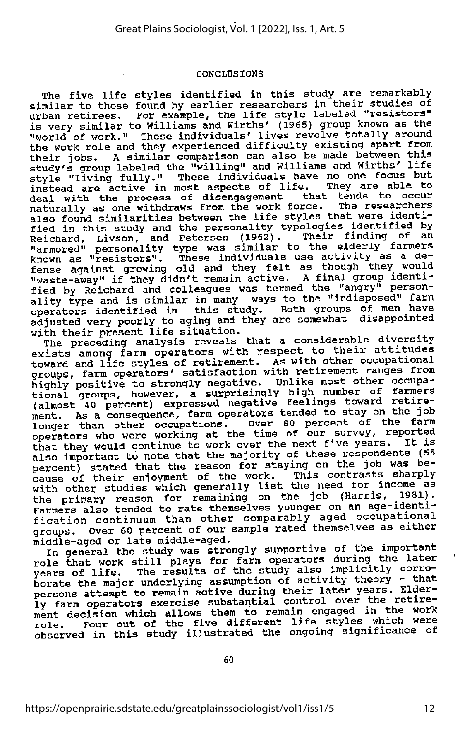#### CONCLUSIONS

The five life styles identified in this study are remarkably similar to those found by earlier researchers in their studies of urban retirees. For example, the life style labeled "resistors" is very similar to Williams and Wirths' (1965) group known as the "world of work." These individuals' lives revolve totally around the work role and they experienced difficulty existing apart from their jobs. A similar comparison can also be made between this study's group labeled the "willing" and Williams and Wirths' life style "living fully." These individuals have no one focus but instead are active in most aspects of life. They are able to deal with the process of disengagement that tends to occur naturally as one withdraws from the work force. The researchers also found similarities between the life styles that were identi fied in this study and the personality typologies identified by Reichard, Livson, and Petersen (1962). Their finding of an "armored" personality type was similar to the elderly farmers known as "resistors". These individuals use activity as a de fense against growing old and they felt as though they would "waste-away" if they didn't remain active. A final group identi fied by Reichard and colleagues was termed the "angry" person-<br>ality type and is similar in many ways to the "indisposed" farm operators identified in this study. Both groups of men have adjusted very poorly to aging and they are somewhat disappointed

with their present life situation.<br>The preceding analysis reveals that a considerable diversity exists among farm operators with respect to their attitudes<br>toward and life styles of retirement. As with other occupational groups, farm operators' satisfaction with retirement ranges from highly positive to strongly negative. Unlike most other occupa-<br>tional groups, however, a surprisingly high number of farmers (almost 40 percent) expressed negative feelings toward retire ment. As a consequence, farm operators tended to stay on the job longer than other occupations. Over 80 percent of the farm operators who were working at the time of our survey, reported that they would continue to work over the next five years. It is also important to note that the majority of these respondents (55 also important to note that the majority of these respondents (55 percent) stated that the reason for staying on the job was bepersons, their enjoyment of the work. This contrasts sharply<br>with other studies which generally list the need for income as<br>with other studies which generally list the job (Harris 1981). the primary reason for remaining on the job (Harris, 1981).<br>Farmers also tended to rate themselves younger on an age-identi-<br>fication continuum than other comparably aged occupational<br>here fication continuum than other comparably aged occupational groups. Over 60 percent of our sample rated themselves as either middle-aged. groups. w.c. we receive the middle-aged. The state of the import

In general the study was strongly supportive of the important<br>
role that work still plays for farm operators during the later years of life. The results of the study also implicitly corro borate the major underlying assumption of activity theory - that persons attempt to remain active during their later years. Elder ly farm operators exercise substantial control over the retire ment decision which allows them to remain engaged in the work role. Four out of the five different life styles which were observed in this study illustrated the ongoing significance of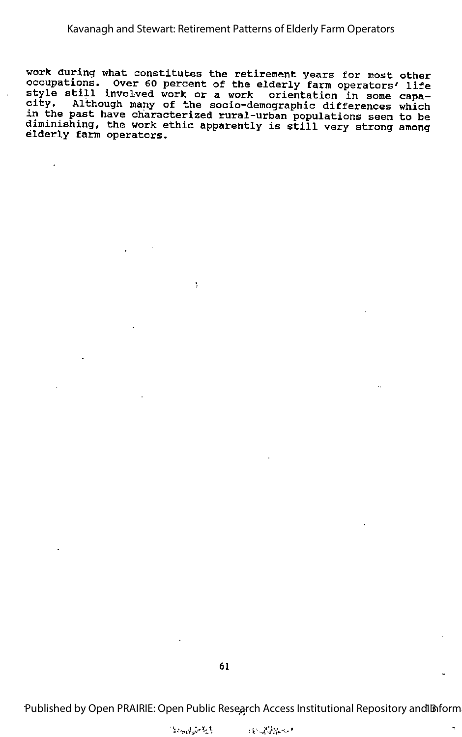work during what constitutes the retirement years for most other<br>occupations. Over 60 percent of the elderly farm operators' life<br>style still involved work or a work orientation in some capa-<br>city. Although many of the soc in the past have characterized rural-urban populations seem to be diminishing, the work ethic apparently is still very strong among elderly farm operators.

Y

Published by Open PRAIRIE: Open Public Research Access Institutional Repository and Inform

N

*Constantial*  $13 - 12$  . Firm  $-1$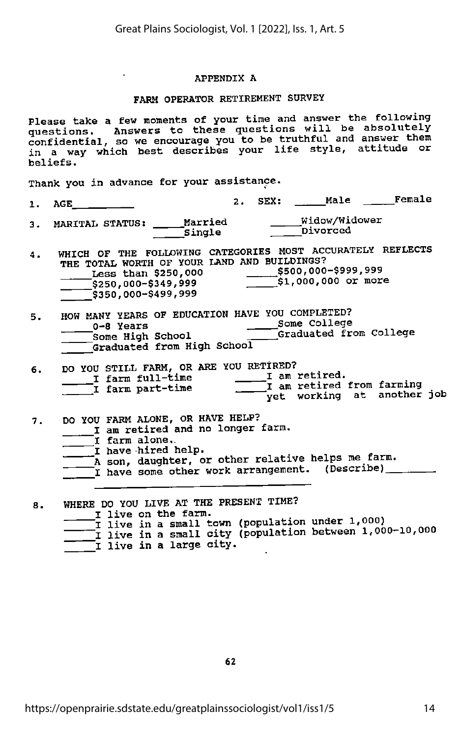## APPENDIX A

## FARM OPERATOR RETIREMENT SURVEY

Please take a few moments of your time and answer the following questions. Answers to these questions will be absolutely confidential, so we encourage you to be truthful and answer them in a way which best describes your life style, attitude or beliefs.

Thank you in advance for your assistance.

 $\sim$ 

2. SEX: \_\_\_\_\_Male \_\_\_\_\_Female  $1.$  AGE  $\qquad \qquad \_$ 

3. MARITAL STATUS; Married ^Widow/Widower Single Divorced

- 4. WHICH OF THE FOLLOWING CATEGORIES MOST ACCURATELY REFLECTS<br>THE TOTAL WORTH OF YOUR LAND AND BUILDINGS? THE TOTAL WORTH OF YOUR LAND AND BUILDINGS?<br>\_\_\_\_\_Less than \$250,000 \$500,000-\$999,999<br>\_\_\_\_\_\$250,000-\$349,999 \$1,000,000 or more \$350,000-\$499,999
- 5. HOW MANY YEARS OF EDUCATION HAVE YOU COMPLETED: 0-8 Years Some College Some High School \_\_\_\_\_\_\_\_\_Graduated from College<br>Graduated from High School

| 6. | DO YOU STILL FARM, OR ARE YOU RETIRED? |                  |  |                                                    |  |  |
|----|----------------------------------------|------------------|--|----------------------------------------------------|--|--|
|    |                                        | I farm full-time |  | I am retired.                                      |  |  |
|    |                                        | I farm part-time |  | $\overline{\phantom{a}}$ I am retired from farming |  |  |
|    |                                        |                  |  | $\equiv$ yet working at another job                |  |  |

- 7. DO YOU FARM ALONE, OR HAVE HELP? I am retired and no longer farm.
	- I farm alone..  $\mathsf{\bar{\_I}}$  have hired help.
	- A son, daughter, or other relative helps me farm.
	- I have some other work arrangement. (Describe) \_\_\_\_\_\_\_

8. WHERE DO YOU LIVE AT THE PRESENT TIME? I live on the farm.<br>I live in a small town (population under 1,000) I live in a small town (population under 1,000)<br>I live in a small city (population between 1,000-10,000 I live in a smail city.<br>I live in a large city.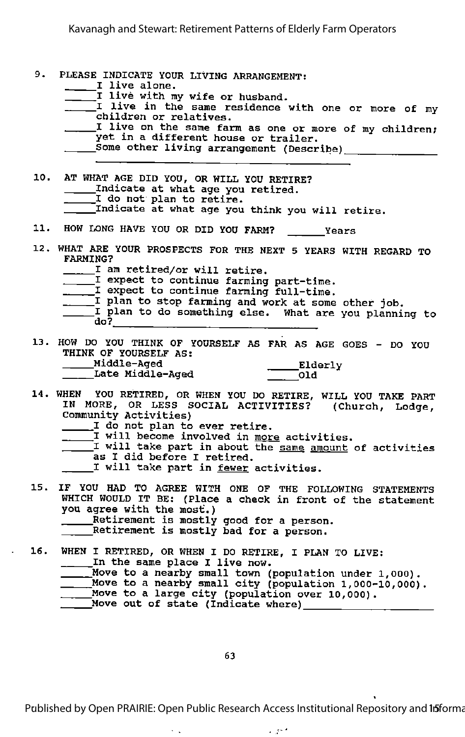| 9.  | PLEASE INDICATE YOUR LIVING ARRANGEMENT:<br>I live alone.<br>I live with my wife or husband.<br>I live in the same residence with one or more of my<br>children or relatives.<br>I live on the same farm as one or more of my children;<br>yet in a different house or trailer.                                                                                         |
|-----|-------------------------------------------------------------------------------------------------------------------------------------------------------------------------------------------------------------------------------------------------------------------------------------------------------------------------------------------------------------------------|
| 10. | AT WHAT AGE DID YOU, OR WILL YOU RETIRE?<br>_____Indicate at what age you retired.<br>I do not plan to retire.<br>Indicate at what age you think you will retire.                                                                                                                                                                                                       |
|     | 11. HOW LONG HAVE YOU OR DID YOU FARM? ______Years                                                                                                                                                                                                                                                                                                                      |
|     | 12. WHAT ARE YOUR PROSPECTS FOR THE NEXT 5 YEARS WITH REGARD TO<br><b>FARMING?</b><br>_____I am retired/or will retire.<br>I expect to continue farming part-time.<br>I expect to continue farming full-time.<br>I plan to stop farming and work at some other job.<br>I plan to do something else. What are you planning to<br>$d\sigma$ ?                             |
|     | 13. HOW DO YOU THINK OF YOURSELF AS FAR AS AGE GOES - DO YOU<br>THINK OF YOURSELF AS:<br>Middle-Aged                                                                                                                                                                                                                                                                    |
|     | 14. WHEN YOU RETIRED, OR WHEN YOU DO RETIRE, WILL YOU TAKE PART<br>IN MORE, OR LESS SOCIAL ACTIVITIES? (Church, Lodge,<br>Community Activities)<br>I do not plan to ever retire.<br>I will become involved in <u>more</u> activities.<br>I will take part in about the same amount of activities<br>as I did before I retired.<br>I will take part in fewer activities. |
| 15. | IF YOU HAD TO AGREE WITH ONE OF THE FOLLOWING STATEMENTS<br>WHICH WOULD IT BE: (Place a check in front of the statement<br>you agree with the most.)<br>Retirement is mostly good for a person.<br>Retirement is mostly bad for a person.                                                                                                                               |
| 16. | WHEN I RETIRED, OR WHEN I DO RETIRE, I PLAN TO LIVE:<br>In the same place I live now.<br>____Move to a nearby small town (population under 1,000).<br>Move to a nearby small city (population 1,000-10,000).<br>Move to a large city (population over 10,000).<br>Move out of state (Indicate where)                                                                    |

63

 $\sim$   $\downarrow$ 

Published by Open PRAIRIE: Open Public Research Access Institutional Repository and 15 forma

 $\sim 10^{12}$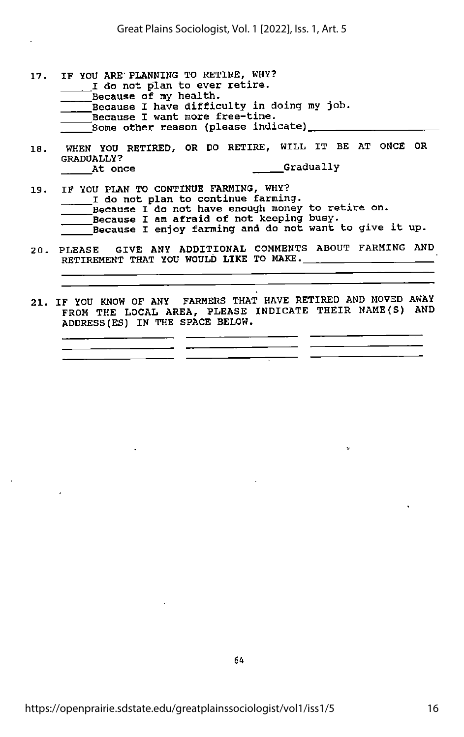- 17. IF YOU ARE'PLANNING TO RETIRE, WHY? I do not plan to ever retire. Because of my health. Because I have difficulty in doing my job. Because I want more free-time.  $^-$  Some other reason (please indicate)  $\_\_$
- 18. WHEN YOU RETIRED, OR DO RETIRE, WILL IT BE AT ONCE OR GRADUALLY?<br>At once **Gradually**
- 19. IF YOU PLAN TO CONTINUE FARMING, WHY? I do not plan to continue farming.<br>Because I do not have enough money to retire on. Because I am afraid of not keeping busy.<br>Because I enjoy farming and do not want to give it up.
- 20. PLEASE GIVE ANY ADDITIONAL COMMENTS ABOUT FARMING AND RETIREMENT THAT YOU WOULD LIKE TO MAKE.
- 21. IF YOU KNOW OF ANY FARMERS THAT HAVE RETIRED AND MOVED AWAY FROM THE LOCAL AREA, PLEASE INDICATE THEIR NAME(S) AND ADDRESS(ES) IN THE SPACE BELOW.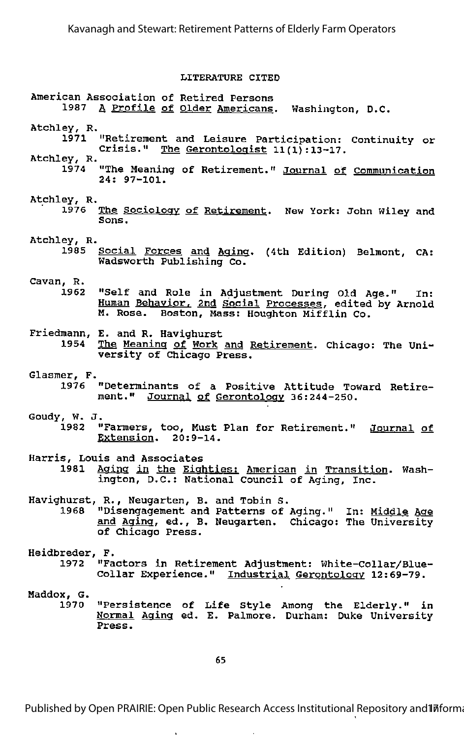## LITERATURE CITED

## American Association of Retired Persons 1987 A Profile of Older Americans. Washington, D.C.

- Atchley, R,
	- 1971 "Retirement and Leisure Participation: Continuity or Crisis." The Gerontologist  $11(1):13-17$ .
- Atchley, R.
	- 1974 "The Meaning of Retirement." Journal of Communication 24: 97-101.
- Atchley, R.
	- 1976 The Sociology of Retirement. New York: John Wiley and Sons.
- Atchley, R.
	- Social Forces and Aging. (4th Edition) Belmont, CA: Wadsworth Publishing Co.
- Cavan, R.
	- "Self and Role in Adjustment During Old Age." In: Human Behavior, 2nd Social Processes, edited by Arnold M. Rose. Boston, Mass: Houghton Mifflin Co.
- Friedmann, E. and R. Havighurst
	- The Meaning of Work and Retirement. Chicago: The University of Chicago Press.
- Glasmer, F.
	- 1976 "Determinants of <sup>a</sup> Positive Attitude Toward Retire ment." Journal of Gerontology 36:244-250.
- Goudy, W. J.
	- "Farmers, too, Must Plan for Retirement." Journal of Extension. 20:9-14.

Harris, Louis and Associates

Aging in the Eighties: American in Transition. Washington, D.C.: National Council of Aging, Inc.

Havighurst, R., Neugarten, B. and Tobin S.

- 1968 "Disengagement and Patterns of Aging." In: Middle Age and Aging, ed., B. Neugarten. Chicago: The University of Chicago Press.
- Heidbreder, F.<br>1972 "Fa "Factors in Retirement Adjustment: White-Collar/Blue-Collar Experience." Industrial Gerontology 12:69-79.
- Maddox, G. 1970 "Persistence of Life Style Among the Elderly." in Normal Aging ed. E. Palmore. Durham: Duke University Press.

Published by Open PRAIRIE: Open Public Research Access Institutional Repository and Informa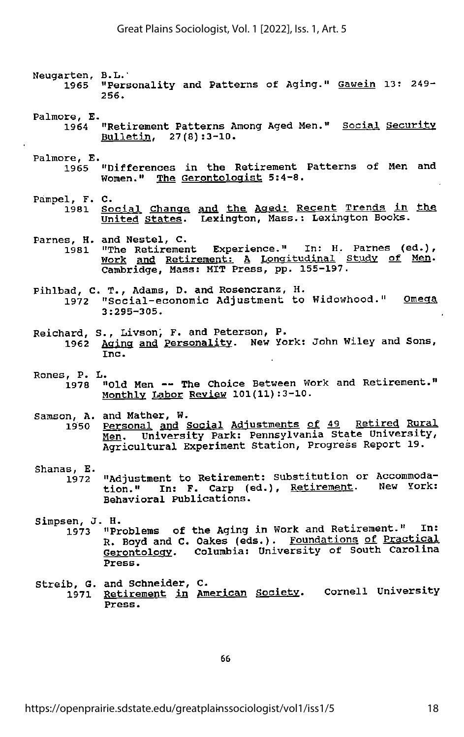- Neugarten, B.L." 1965 "Personality and Patterns of Aging." Gawein 13: 249- 256.
- Palmore, E.
	- 1964 "Retirement Patterns Among Aged Men." Social Security Bulletin. 27(8):3-10.
- Palmore, E.
	- 1965 "Differences in the Retirement Patterns of Men and Women." The Gerontologist 5:4-8.
- Pampel, F. C. 1981 Social Change and the Aaed: Recent Trends in the United States. Lexington, Mass.: Lexington Books.
- Parnes, H. and Nestel, C.
- 1981 "The Retirement Experience." In: H. Parnes (ed.). Work and Retirement: <sup>A</sup> Longitudinal Study of Men. Cambridge, Mass: MIT Press, pp. 155-197.
- Pihlbad, C. T., Adams, D. and Rosencranz, H. 1972 "Social-economic Adjustment to Widowhood." Omega<br>3:295-305.
- Reichard, S., Livson, F. and Peterson, P.
	- 1962 Aging and Personality. New York: John Wiley and Sons,<br>Inc.
- Rones, P. L.
	- 1978 "Old Men The Choice Between Work and Retirement." Monthly Labor Reyiew 101(11):3-10.

Samson, A. and Mather, W. . ^ ,

- 1950 Personal and Social Adjustments o£ 49 Retired Rural. Men. University Park: Pennsylvania State University, Agricultural Experiment Station, Progress Report 19.
- 
- Shanas, E.<br>1972 "Adjustment to Retirement: Substitution or Accommoda tion." In: F. Carp (ed.), Retirement. New York: Behavioral Publications.
- Simpsen, J. H. .
	- 1973 "Problems of the Aging in Work and Retirement." In: R, Boyd and C. Oakes (eds.). Foundations of Practical Gerontology. Columbia: University of South Carolina Press.
- Streib, G. and Schneider, C.<br>1971 Retirement in Am o, e. and Schmeider, C.<br>1971 <u>Retirement in American Society</u>. Cornell University<br>Press.